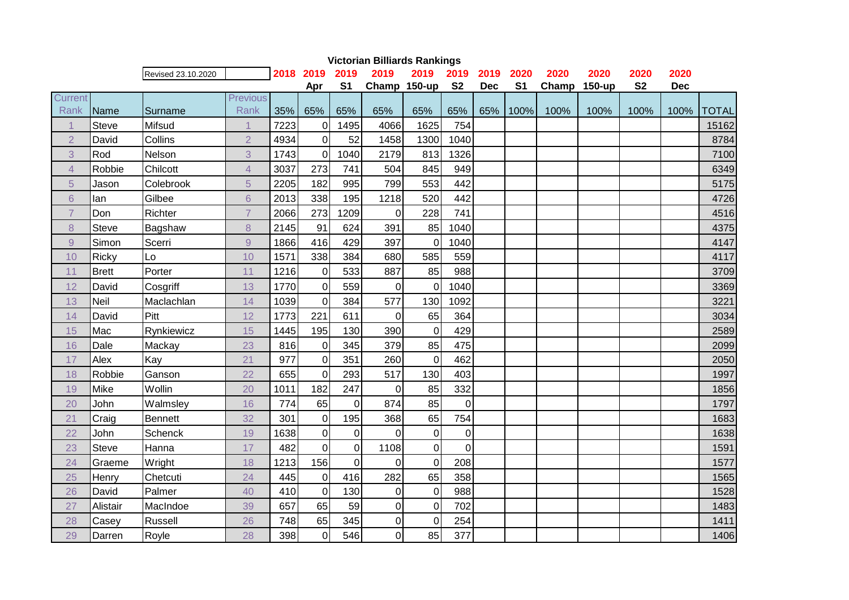|                | <b>Victorian Billiards Rankings</b> |                    |                 |      |                |                |                |                  |                |            |                |       |        |           |            |              |
|----------------|-------------------------------------|--------------------|-----------------|------|----------------|----------------|----------------|------------------|----------------|------------|----------------|-------|--------|-----------|------------|--------------|
|                |                                     | Revised 23.10.2020 |                 | 2018 | 2019           | 2019           | 2019           | 2019             | 2019           | 2019       | 2020           | 2020  | 2020   | 2020      | 2020       |              |
|                |                                     |                    |                 |      | Apr            | S <sub>1</sub> | Champ 150-up   |                  | <b>S2</b>      | <b>Dec</b> | S <sub>1</sub> | Champ | 150-up | <b>S2</b> | <b>Dec</b> |              |
| Current        |                                     |                    | <b>Previous</b> |      |                |                |                |                  |                |            |                |       |        |           |            |              |
| Rank           | Name                                | Surname            | Rank            | 35%  | 65%            | 65%            | 65%            | 65%              | 65%            | 65%        | 100%           | 100%  | 100%   | 100%      | 100%       | <b>TOTAL</b> |
| 1              | <b>Steve</b>                        | Mifsud             | 1               | 7223 | 0              | 1495           | 4066           | 1625             | 754            |            |                |       |        |           |            | 15162        |
| $\overline{2}$ | David                               | Collins            | $\overline{2}$  | 4934 | $\Omega$       | 52             | 1458           | 1300             | 1040           |            |                |       |        |           |            | 8784         |
| 3              | Rod                                 | Nelson             | 3               | 1743 | $\Omega$       | 1040           | 2179           | 813              | 1326           |            |                |       |        |           |            | 7100         |
| $\overline{4}$ | Robbie                              | Chilcott           | $\overline{4}$  | 3037 | 273            | 741            | 504            | 845              | 949            |            |                |       |        |           |            | 6349         |
| 5              | Jason                               | Colebrook          | 5               | 2205 | 182            | 995            | 799            | 553              | 442            |            |                |       |        |           |            | 5175         |
| $6\phantom{1}$ | lan                                 | Gilbee             | 6               | 2013 | 338            | 195            | 1218           | 520              | 442            |            |                |       |        |           |            | 4726         |
| $\overline{7}$ | Don                                 | Richter            | $\overline{7}$  | 2066 | 273            | 1209           | $\Omega$       | 228              | 741            |            |                |       |        |           |            | 4516         |
| $\,8\,$        | Steve                               | Bagshaw            | 8               | 2145 | 91             | 624            | 391            | 85               | 1040           |            |                |       |        |           |            | 4375         |
| $\mathsf{9}$   | Simon                               | Scerri             | $\overline{9}$  | 1866 | 416            | 429            | 397            | 0                | 1040           |            |                |       |        |           |            | 4147         |
| 10             | Ricky                               | Lo                 | 10              | 1571 | 338            | 384            | 680            | 585              | 559            |            |                |       |        |           |            | 4117         |
| 11             | <b>Brett</b>                        | Porter             | 11              | 1216 | $\Omega$       | 533            | 887            | 85               | 988            |            |                |       |        |           |            | 3709         |
| 12             | David                               | Cosgriff           | 13              | 1770 | $\Omega$       | 559            | $\Omega$       | 0                | 1040           |            |                |       |        |           |            | 3369         |
| 13             | <b>Neil</b>                         | Maclachlan         | 14              | 1039 | $\overline{0}$ | 384            | 577            | 130              | 1092           |            |                |       |        |           |            | 3221         |
| 14             | David                               | Pitt               | 12              | 1773 | 221            | 611            | $\Omega$       | 65               | 364            |            |                |       |        |           |            | 3034         |
| 15             | Mac                                 | Rynkiewicz         | 15              | 1445 | 195            | 130            | 390            | 0                | 429            |            |                |       |        |           |            | 2589         |
| 16             | Dale                                | Mackay             | 23              | 816  | $\Omega$       | 345            | 379            | 85               | 475            |            |                |       |        |           |            | 2099         |
| 17             | Alex                                | Kay                | 21              | 977  | $\Omega$       | 351            | 260            | $\overline{0}$   | 462            |            |                |       |        |           |            | 2050         |
| 18             | Robbie                              | Ganson             | 22              | 655  | 0              | 293            | 517            | 130              | 403            |            |                |       |        |           |            | 1997         |
| 19             | Mike                                | Wollin             | 20              | 1011 | 182            | 247            | $\Omega$       | 85               | 332            |            |                |       |        |           |            | 1856         |
| 20             | John                                | Walmsley           | 16              | 774  | 65             | $\Omega$       | 874            | 85               | $\overline{0}$ |            |                |       |        |           |            | 1797         |
| 21             | Craig                               | <b>Bennett</b>     | 32              | 301  | $\Omega$       | 195            | 368            | 65               | 754            |            |                |       |        |           |            | 1683         |
| 22             | John                                | Schenck            | 19              | 1638 | $\overline{0}$ | $\overline{0}$ | $\Omega$       | 0                | $\mathbf 0$    |            |                |       |        |           |            | 1638         |
| 23             | Steve                               | Hanna              | 17              | 482  | $\overline{0}$ | $\Omega$       | 1108           | 0                | $\mathbf 0$    |            |                |       |        |           |            | 1591         |
| 24             | Graeme                              | Wright             | 18              | 1213 | 156            | $\overline{0}$ | $\Omega$       | 0                | 208            |            |                |       |        |           |            | 1577         |
| 25             | Henry                               | Chetcuti           | 24              | 445  | $\Omega$       | 416            | 282            | 65               | 358            |            |                |       |        |           |            | 1565         |
| 26             | David                               | Palmer             | 40              | 410  | 0              | 130            | $\Omega$       | $\boldsymbol{0}$ | 988            |            |                |       |        |           |            | 1528         |
| 27             | Alistair                            | MacIndoe           | 39              | 657  | 65             | 59             | $\Omega$       | 0                | 702            |            |                |       |        |           |            | 1483         |
| 28             | Casey                               | Russell            | 26              | 748  | 65             | 345            | $\overline{O}$ | 0                | 254            |            |                |       |        |           |            | 1411         |
| 29             | Darren                              | Royle              | 28              | 398  | $\overline{0}$ | 546            | 0              | 85               | 377            |            |                |       |        |           |            | 1406         |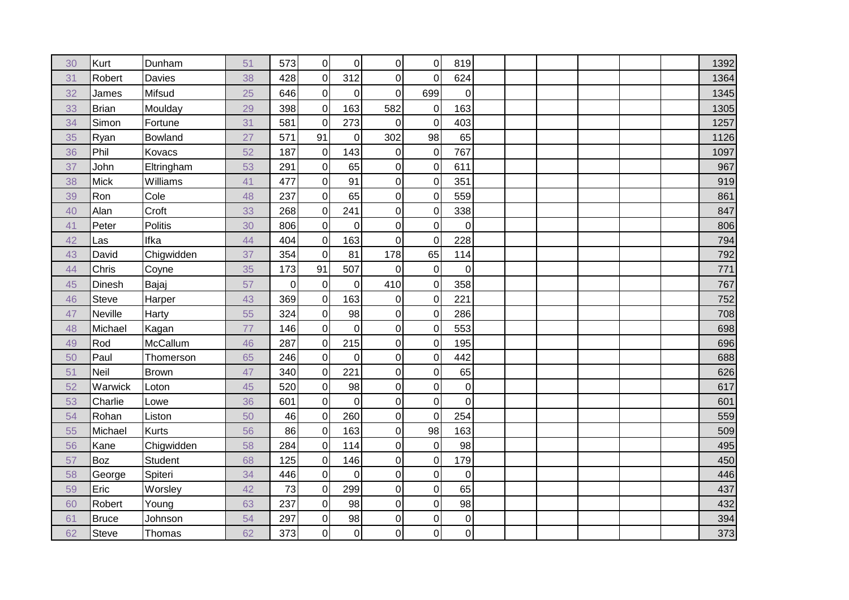| 30 | Kurt         | Dunham        | 51 | 573            | $\overline{0}$ | 0                | $\pmb{0}$      | $\overline{0}$ | 819            |  |  |  | 1392 |
|----|--------------|---------------|----|----------------|----------------|------------------|----------------|----------------|----------------|--|--|--|------|
| 31 | Robert       | <b>Davies</b> | 38 | 428            | $\overline{0}$ | 312              | $\mathbf 0$    | $\Omega$       | 624            |  |  |  | 1364 |
| 32 | James        | Mifsud        | 25 | 646            | 0              | $\boldsymbol{0}$ | $\mathbf 0$    | 699            | $\overline{0}$ |  |  |  | 1345 |
| 33 | <b>Brian</b> | Moulday       | 29 | 398            | $\overline{0}$ | 163              | 582            | $\overline{0}$ | 163            |  |  |  | 1305 |
| 34 | Simon        | Fortune       | 31 | 581            | $\vert$ 0      | 273              | $\mathbf 0$    | $\mathbf 0$    | 403            |  |  |  | 1257 |
| 35 | Ryan         | Bowland       | 27 | 571            | 91             | 0                | 302            | 98             | 65             |  |  |  | 1126 |
| 36 | Phil         | Kovacs        | 52 | 187            | 0              | 143              | 0              | $\Omega$       | 767            |  |  |  | 1097 |
| 37 | John         | Eltringham    | 53 | 291            | $\overline{0}$ | 65               | $\mathbf 0$    | $\overline{0}$ | 611            |  |  |  | 967  |
| 38 | Mick         | Williams      | 41 | 477            | 0              | 91               | $\mathbf 0$    | $\overline{0}$ | 351            |  |  |  | 919  |
| 39 | Ron          | Cole          | 48 | 237            | $\overline{0}$ | 65               | $\pmb{0}$      | $\Omega$       | 559            |  |  |  | 861  |
| 40 | Alan         | Croft         | 33 | 268            | $\Omega$       | 241              | $\overline{0}$ | $\Omega$       | 338            |  |  |  | 847  |
| 41 | Peter        | Politis       | 30 | 806            | $\overline{0}$ | $\mathbf 0$      | $\mathbf 0$    | $\Omega$       | $\overline{0}$ |  |  |  | 806  |
| 42 | Las          | Ifka          | 44 | 404            | 0              | 163              | $\mathbf 0$    | $\overline{0}$ | 228            |  |  |  | 794  |
| 43 | David        | Chigwidden    | 37 | 354            | $\overline{0}$ | 81               | 178            | 65             | 114            |  |  |  | 792  |
| 44 | Chris        | Coyne         | 35 | 173            | 91             | 507              | $\overline{0}$ | $\Omega$       | $\overline{0}$ |  |  |  | 771  |
| 45 | Dinesh       | Bajaj         | 57 | $\overline{0}$ | $\overline{0}$ | $\mathbf 0$      | 410            | $\overline{0}$ | 358            |  |  |  | 767  |
| 46 | Steve        | Harper        | 43 | 369            | $\Omega$       | 163              | $\mathbf 0$    | $\Omega$       | 221            |  |  |  | 752  |
| 47 | Neville      | Harty         | 55 | 324            | $\overline{0}$ | 98               | $\mathbf 0$    | $\overline{0}$ | 286            |  |  |  | 708  |
| 48 | Michael      | Kagan         | 77 | 146            | 0              | $\mathbf 0$      | $\mathbf 0$    | 0              | 553            |  |  |  | 698  |
| 49 | Rod          | McCallum      | 46 | 287            | $\Omega$       | 215              | $\pmb{0}$      | $\overline{0}$ | 195            |  |  |  | 696  |
| 50 | Paul         | Thomerson     | 65 | 246            | $\Omega$       | $\mathbf 0$      | $\mathbf 0$    | $\Omega$       | 442            |  |  |  | 688  |
| 51 | <b>Neil</b>  | <b>Brown</b>  | 47 | 340            | $\overline{0}$ | 221              | $\mathbf 0$    | $\Omega$       | 65             |  |  |  | 626  |
| 52 | Warwick      | Loton         | 45 | 520            | 0              | 98               | $\mathbf 0$    | $\overline{0}$ | $\overline{0}$ |  |  |  | 617  |
| 53 | Charlie      | Lowe          | 36 | 601            | $\overline{0}$ | $\mathbf 0$      | $\mathbf 0$    | $\overline{0}$ | $\overline{0}$ |  |  |  | 601  |
| 54 | Rohan        | Liston        | 50 | 46             | $\overline{0}$ | 260              | $\mathbf 0$    | $\Omega$       | 254            |  |  |  | 559  |
| 55 | Michael      | <b>Kurts</b>  | 56 | 86             | $\overline{0}$ | 163              | $\mathbf 0$    | 98             | 163            |  |  |  | 509  |
| 56 | Kane         | Chigwidden    | 58 | 284            | $\Omega$       | 114              | $\mathbf 0$    | $\Omega$       | 98             |  |  |  | 495  |
| 57 | Boz          | Student       | 68 | 125            | 0              | 146              | $\pmb{0}$      | $\overline{0}$ | 179            |  |  |  | 450  |
| 58 | George       | Spiteri       | 34 | 446            | 0              | $\mathbf 0$      | $\mathbf 0$    | $\Omega$       | $\overline{0}$ |  |  |  | 446  |
| 59 | Eric         | Worsley       | 42 | 73             | $\overline{0}$ | 299              | $\mathbf 0$    | $\overline{0}$ | 65             |  |  |  | 437  |
| 60 | Robert       | Young         | 63 | 237            | 0              | 98               | $\mathbf 0$    | $\Omega$       | 98             |  |  |  | 432  |
| 61 | <b>Bruce</b> | Johnson       | 54 | 297            | $\overline{0}$ | 98               | $\pmb{0}$      | $\overline{0}$ | $\overline{0}$ |  |  |  | 394  |
| 62 | Steve        | Thomas        | 62 | 373            | $\overline{0}$ | $\mathbf 0$      | $\mathbf 0$    | $\overline{0}$ | $\overline{0}$ |  |  |  | 373  |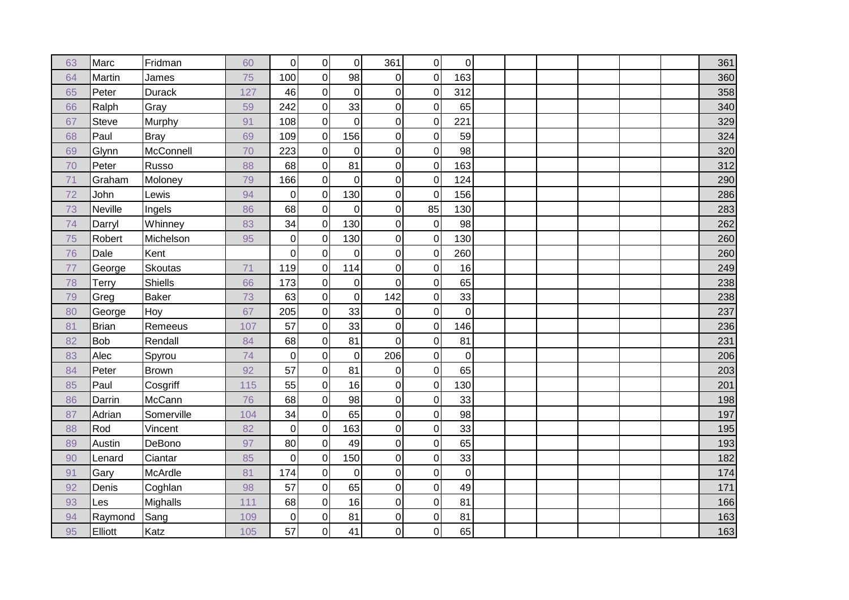| 63 | Marc         | Fridman        | 60  | $\overline{0}$ | $\overline{0}$ | $\overline{0}$ | 361            | $\overline{0}$ | $\overline{0}$ |  |  |  | 361 |
|----|--------------|----------------|-----|----------------|----------------|----------------|----------------|----------------|----------------|--|--|--|-----|
| 64 | Martin       | James          | 75  | 100            | $\overline{0}$ | 98             | $\overline{0}$ | $\overline{0}$ | 163            |  |  |  | 360 |
| 65 | Peter        | <b>Durack</b>  | 127 | 46             | 0              | $\overline{0}$ | $\overline{0}$ | $\overline{0}$ | 312            |  |  |  | 358 |
| 66 | Ralph        | Gray           | 59  | 242            | 0              | 33             | $\pmb{0}$      | $\Omega$       | 65             |  |  |  | 340 |
| 67 | Steve        | Murphy         | 91  | 108            | $\overline{0}$ | $\overline{0}$ | $\mathbf 0$    | $\overline{0}$ | 221            |  |  |  | 329 |
| 68 | Paul         | <b>Bray</b>    | 69  | 109            | $\overline{0}$ | 156            | $\overline{0}$ | $\overline{0}$ | 59             |  |  |  | 324 |
| 69 | Glynn        | McConnell      | 70  | 223            | $\overline{0}$ | $\overline{0}$ | $\overline{0}$ | $\overline{0}$ | 98             |  |  |  | 320 |
| 70 | Peter        | Russo          | 88  | 68             | 0              | 81             | $\mathbf 0$    | $\overline{O}$ | 163            |  |  |  | 312 |
| 71 | Graham       | Moloney        | 79  | 166            | $\overline{0}$ | $\overline{0}$ | $\mathbf 0$    | $\overline{0}$ | 124            |  |  |  | 290 |
| 72 | John         | Lewis          | 94  | $\overline{0}$ | $\overline{0}$ | 130            | $\overline{0}$ | $\overline{0}$ | 156            |  |  |  | 286 |
| 73 | Neville      | Ingels         | 86  | 68             | $\overline{0}$ | $\overline{0}$ | $\overline{0}$ | 85             | 130            |  |  |  | 283 |
| 74 | Darryl       | Whinney        | 83  | 34             | 0              | 130            | $\pmb{0}$      | $\overline{0}$ | 98             |  |  |  | 262 |
| 75 | Robert       | Michelson      | 95  | $\overline{0}$ | $\overline{0}$ | 130            | $\mathbf 0$    | $\overline{0}$ | 130            |  |  |  | 260 |
| 76 | Dale         | Kent           |     | $\overline{0}$ | $\overline{0}$ | $\overline{0}$ | $\overline{0}$ | $\overline{O}$ | 260            |  |  |  | 260 |
| 77 | George       | <b>Skoutas</b> | 71  | 119            | 0              | 114            | $\overline{0}$ | $\overline{0}$ | 16             |  |  |  | 249 |
| 78 | Terry        | <b>Shiells</b> | 66  | 173            | 0              | $\overline{0}$ | $\mathbf 0$    | $\overline{0}$ | 65             |  |  |  | 238 |
| 79 | Greg         | <b>Baker</b>   | 73  | 63             | $\overline{0}$ | $\overline{0}$ | 142            | $\overline{0}$ | 33             |  |  |  | 238 |
| 80 | George       | Hoy            | 67  | 205            | $\overline{0}$ | 33             | $\overline{0}$ | $\overline{O}$ | $\overline{0}$ |  |  |  | 237 |
| 81 | <b>Brian</b> | Remeeus        | 107 | 57             | 0              | 33             | $\overline{0}$ | $\overline{0}$ | 146            |  |  |  | 236 |
| 82 | Bob          | Rendall        | 84  | 68             | 0              | 81             | $\mathbf 0$    | $\overline{O}$ | 81             |  |  |  | 231 |
| 83 | Alec         | Spyrou         | 74  | $\overline{0}$ | $\overline{0}$ | $\overline{0}$ | 206            | $\overline{0}$ | $\overline{0}$ |  |  |  | 206 |
| 84 | Peter        | Brown          | 92  | 57             | $\overline{0}$ | 81             | $\overline{0}$ | $\overline{0}$ | 65             |  |  |  | 203 |
| 85 | Paul         | Cosgriff       | 115 | 55             | 0              | 16             | $\overline{0}$ | $\overline{0}$ | 130            |  |  |  | 201 |
| 86 | Darrin       | McCann         | 76  | 68             | 0              | 98             | $\overline{0}$ | $\overline{O}$ | 33             |  |  |  | 198 |
| 87 | Adrian       | Somerville     | 104 | 34             | $\overline{0}$ | 65             | $\overline{0}$ | $\overline{0}$ | 98             |  |  |  | 197 |
| 88 | Rod          | Vincent        | 82  | $\overline{0}$ | 0              | 163            | $\overline{0}$ | $\overline{O}$ | 33             |  |  |  | 195 |
| 89 | Austin       | DeBono         | 97  | 80             | $\mathbf 0$    | 49             | $\mathbf 0$    | $\overline{0}$ | 65             |  |  |  | 193 |
| 90 | Lenard       | Ciantar        | 85  | $\overline{0}$ | $\overline{0}$ | 150            | $\mathbf 0$    | $\overline{0}$ | 33             |  |  |  | 182 |
| 91 | Gary         | McArdle        | 81  | 174            | $\overline{0}$ | $\overline{0}$ | $\mathbf 0$    | $\overline{0}$ | $\overline{0}$ |  |  |  | 174 |
| 92 | Denis        | Coghlan        | 98  | 57             | $\overline{0}$ | 65             | $\overline{0}$ | $\overline{0}$ | 49             |  |  |  | 171 |
| 93 | Les          | Mighalls       | 111 | 68             | $\overline{0}$ | 16             | $\pmb{0}$      | $\overline{0}$ | 81             |  |  |  | 166 |
| 94 | Raymond      | Sang           | 109 | $\overline{0}$ | $\overline{0}$ | 81             | $\pmb{0}$      | $\overline{O}$ | 81             |  |  |  | 163 |
| 95 | Elliott      | Katz           | 105 | 57             | 0              | 41             | $\overline{0}$ | $\overline{0}$ | 65             |  |  |  | 163 |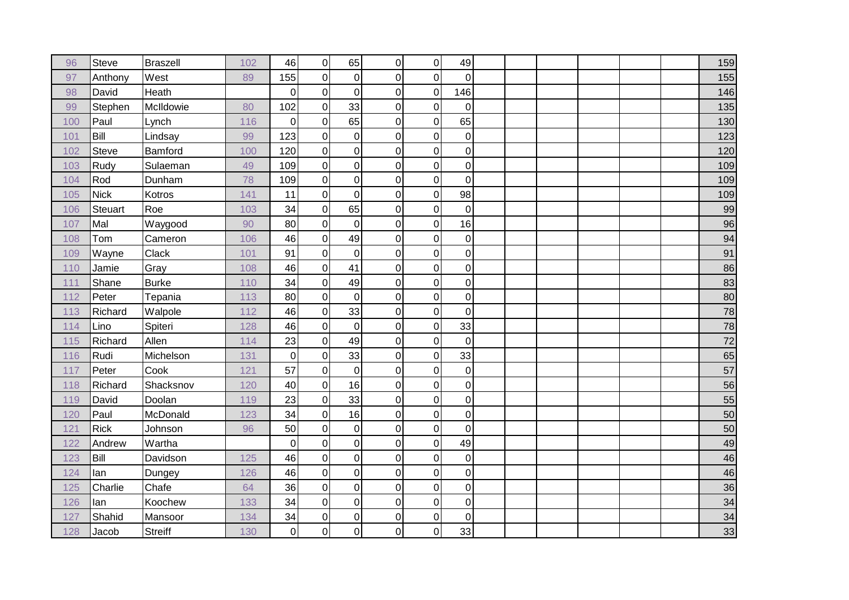| 96  | Steve        | Braszell       | 102 | 46             | $\overline{0}$ | 65               | $\pmb{0}$   | $\overline{0}$ | 49             |  |  |  | 159             |
|-----|--------------|----------------|-----|----------------|----------------|------------------|-------------|----------------|----------------|--|--|--|-----------------|
| 97  | Anthony      | West           | 89  | 155            | 0              | $\mathbf 0$      | $\mathbf 0$ | $\overline{0}$ | $\overline{0}$ |  |  |  | 155             |
| 98  | David        | Heath          |     | $\overline{0}$ | $\overline{0}$ | 0                | $\mathbf 0$ | $\overline{0}$ | 146            |  |  |  | 146             |
| 99  | Stephen      | McIldowie      | 80  | 102            | 0              | 33               | $\mathbf 0$ | $\overline{0}$ | $\overline{0}$ |  |  |  | 135             |
| 100 | Paul         | Lynch          | 116 | $\overline{0}$ | $\overline{0}$ | 65               | $\mathbf 0$ | $\overline{0}$ | 65             |  |  |  | 130             |
| 101 | Bill         | Lindsay        | 99  | 123            | 0              | $\boldsymbol{0}$ | $\mathbf 0$ | $\overline{0}$ | $\overline{0}$ |  |  |  | 123             |
| 102 | <b>Steve</b> | Bamford        | 100 | 120            | $\overline{0}$ | $\overline{0}$   | $\mathbf 0$ | $\overline{0}$ | $\overline{0}$ |  |  |  | 120             |
| 103 | Rudy         | Sulaeman       | 49  | 109            | 0              | $\mathbf 0$      | $\mathbf 0$ | $\overline{0}$ | $\overline{0}$ |  |  |  | 109             |
| 104 | Rod          | Dunham         | 78  | 109            | $\overline{0}$ | $\mathbf 0$      | $\mathbf 0$ | $\overline{0}$ | $\overline{0}$ |  |  |  | 109             |
| 105 | Nick         | Kotros         | 141 | 11             | $\overline{0}$ | $\mathbf 0$      | $\mathbf 0$ | $\overline{0}$ | 98             |  |  |  | 109             |
| 106 | Steuart      | Roe            | 103 | 34             | $\overline{0}$ | 65               | $\pmb{0}$   | $\overline{0}$ | $\overline{0}$ |  |  |  | 99              |
| 107 | Mal          | Waygood        | 90  | 80             | 0              | $\mathbf 0$      | $\mathbf 0$ | $\overline{0}$ | 16             |  |  |  | 96              |
| 108 | Tom          | Cameron        | 106 | 46             | 0              | 49               | $\mathbf 0$ | $\overline{0}$ | $\overline{0}$ |  |  |  | 94              |
| 109 | Wayne        | Clack          | 101 | 91             | $\overline{0}$ | $\mathbf 0$      | $\pmb{0}$   | $\overline{0}$ | $\overline{0}$ |  |  |  | 91              |
| 110 | Jamie        | Gray           | 108 | 46             | $\overline{0}$ | 41               | $\mathbf 0$ | $\overline{0}$ | $\overline{0}$ |  |  |  | 86              |
| 111 | Shane        | <b>Burke</b>   | 110 | 34             | $\overline{0}$ | 49               | $\mathbf 0$ | $\overline{0}$ | $\overline{0}$ |  |  |  | 83              |
| 112 | Peter        | Tepania        | 113 | 80             | $\overline{0}$ | $\mathbf 0$      | $\mathbf 0$ | $\overline{0}$ | $\overline{0}$ |  |  |  | 80              |
| 113 | Richard      | Walpole        | 112 | 46             | $\overline{0}$ | 33               | $\pmb{0}$   | $\overline{0}$ | $\overline{0}$ |  |  |  | 78              |
| 114 | Lino         | Spiteri        | 128 | 46             | $\overline{0}$ | $\boldsymbol{0}$ | $\mathbf 0$ | $\overline{0}$ | 33             |  |  |  | $\overline{78}$ |
| 115 | Richard      | Allen          | 114 | 23             | $\overline{0}$ | 49               | $\pmb{0}$   | $\overline{0}$ | $\overline{0}$ |  |  |  | $\overline{72}$ |
| 116 | Rudi         | Michelson      | 131 | $\overline{0}$ | 0              | 33               | $\mathbf 0$ | $\overline{0}$ | 33             |  |  |  | 65              |
| 117 | Peter        | Cook           | 121 | 57             | $\overline{0}$ | $\overline{0}$   | $\pmb{0}$   | $\overline{0}$ | $\overline{0}$ |  |  |  | 57              |
| 118 | Richard      | Shacksnov      | 120 | 40             | $\overline{0}$ | 16               | $\pmb{0}$   | $\overline{0}$ | $\overline{0}$ |  |  |  | 56              |
| 119 | David        | Doolan         | 119 | 23             | $\overline{0}$ | 33               | $\mathbf 0$ | $\overline{0}$ | $\overline{0}$ |  |  |  | 55              |
| 120 | Paul         | McDonald       | 123 | 34             | $\overline{0}$ | 16               | $\mathbf 0$ | $\overline{0}$ | $\overline{0}$ |  |  |  | 50              |
| 121 | <b>Rick</b>  | Johnson        | 96  | 50             | $\overline{0}$ | $\boldsymbol{0}$ | $\pmb{0}$   | $\overline{0}$ | $\overline{0}$ |  |  |  | 50              |
| 122 | Andrew       | Wartha         |     | $\overline{0}$ | $\Omega$       | $\mathbf 0$      | $\mathbf 0$ | $\overline{0}$ | 49             |  |  |  | 49              |
| 123 | Bill         | Davidson       | 125 | 46             | 0              | $\overline{0}$   | $\pmb{0}$   | $\overline{0}$ | $\overline{0}$ |  |  |  | $\overline{46}$ |
| 124 | lan          | Dungey         | 126 | 46             | $\overline{0}$ | $\mathbf 0$      | $\mathbf 0$ | $\overline{0}$ | $\overline{0}$ |  |  |  | 46              |
| 125 | Charlie      | Chafe          | 64  | 36             | $\overline{0}$ | $\overline{0}$   | $\mathbf 0$ | $\overline{0}$ | $\overline{0}$ |  |  |  | 36              |
| 126 | lan          | Koochew        | 133 | 34             | $\overline{0}$ | $\boldsymbol{0}$ | $\mathbf 0$ | $\mathbf 0$    | $\overline{0}$ |  |  |  | 34              |
| 127 | Shahid       | Mansoor        | 134 | 34             | 0              | 0                | $\mathbf 0$ | $\overline{0}$ | $\overline{0}$ |  |  |  | 34              |
| 128 | Jacob        | <b>Streiff</b> | 130 | $\overline{0}$ | $\overline{0}$ | $\mathsf 0$      | $\pmb{0}$   | $\overline{0}$ | 33             |  |  |  | $\overline{33}$ |